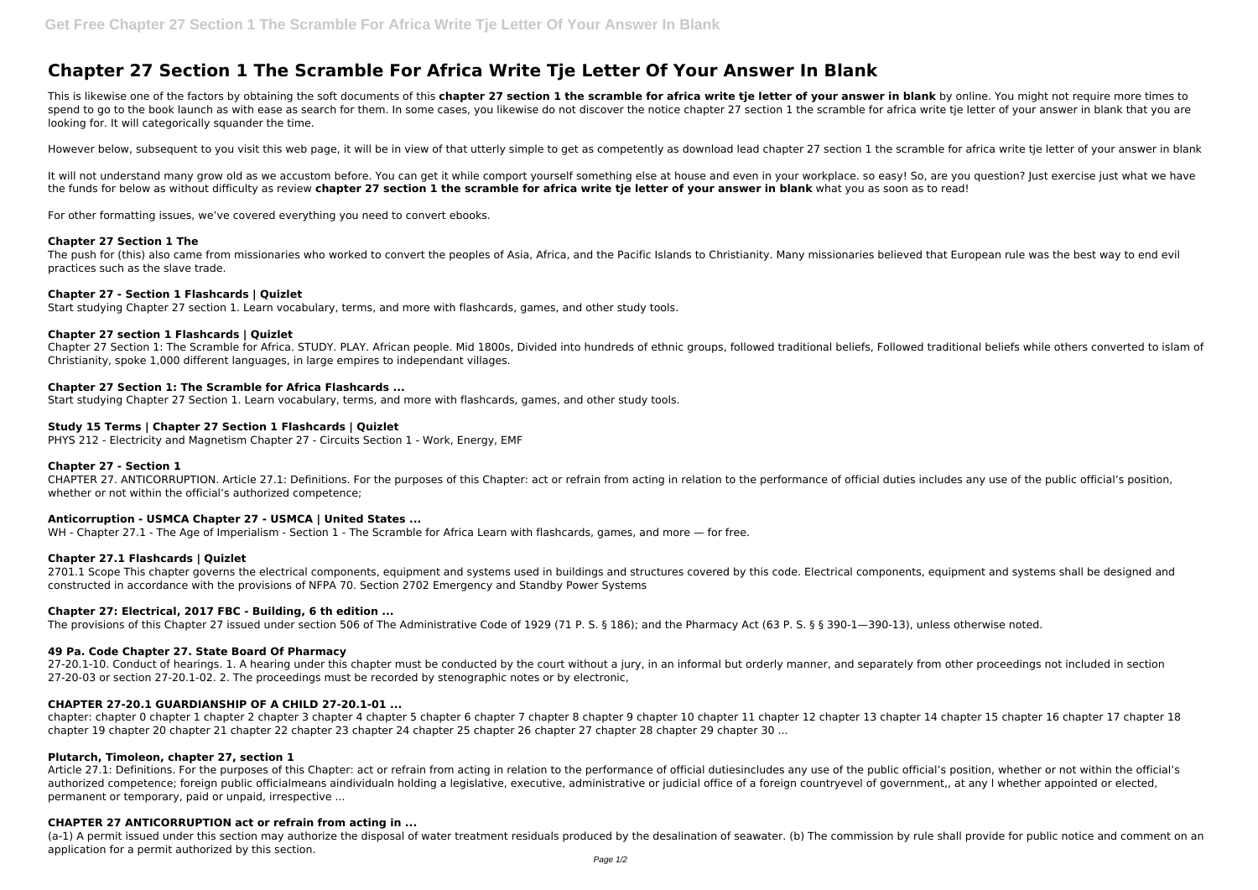# **Chapter 27 Section 1 The Scramble For Africa Write Tje Letter Of Your Answer In Blank**

This is likewise one of the factors by obtaining the soft documents of this **chapter 27 section 1 the scramble for africa write tje letter of your answer in blank** by online. You might not require more times to spend to go to the book launch as with ease as search for them. In some cases, you likewise do not discover the notice chapter 27 section 1 the scramble for africa write tie letter of your answer in blank that you are looking for. It will categorically squander the time.

However below, subsequent to you visit this web page, it will be in view of that utterly simple to get as competently as download lead chapter 27 section 1 the scramble for africa write tie letter of your answer in blank

It will not understand many grow old as we accustom before. You can get it while comport yourself something else at house and even in your workplace. so easy! So, are you question? Just exercise just what we have the funds for below as without difficulty as review **chapter 27 section 1 the scramble for africa write tje letter of your answer in blank** what you as soon as to read!

For other formatting issues, we've covered everything you need to convert ebooks.

# **Chapter 27 Section 1 The**

The push for (this) also came from missionaries who worked to convert the peoples of Asia, Africa, and the Pacific Islands to Christianity. Many missionaries believed that European rule was the best way to end evil practices such as the slave trade.

# **Chapter 27 - Section 1 Flashcards | Quizlet**

2701.1 Scope This chapter governs the electrical components, equipment and systems used in buildings and structures covered by this code. Electrical components, equipment and systems shall be designed and constructed in accordance with the provisions of NFPA 70. Section 2702 Emergency and Standby Power Systems

Start studying Chapter 27 section 1. Learn vocabulary, terms, and more with flashcards, games, and other study tools.

# **Chapter 27 section 1 Flashcards | Quizlet**

27-20.1-10. Conduct of hearings. 1. A hearing under this chapter must be conducted by the court without a jury, in an informal but orderly manner, and separately from other proceedings not included in section 27-20-03 or section 27-20.1-02. 2. The proceedings must be recorded by stenographic notes or by electronic,

Chapter 27 Section 1: The Scramble for Africa. STUDY. PLAY. African people. Mid 1800s, Divided into hundreds of ethnic groups, followed traditional beliefs, Followed traditional beliefs while others converted to islam of Christianity, spoke 1,000 different languages, in large empires to independant villages.

# **Chapter 27 Section 1: The Scramble for Africa Flashcards ...**

Start studying Chapter 27 Section 1. Learn vocabulary, terms, and more with flashcards, games, and other study tools.

# **Study 15 Terms | Chapter 27 Section 1 Flashcards | Quizlet**

PHYS 212 - Electricity and Magnetism Chapter 27 - Circuits Section 1 - Work, Energy, EMF

Article 27.1: Definitions. For the purposes of this Chapter: act or refrain from acting in relation to the performance of official dutiesincludes any use of the public official's position, whether or not within the officia authorized competence; foreign public officialmeans aindividualn holding a legislative, executive, administrative or judicial office of a foreign countryevel of government,, at any l whether appointed or elected, permanent or temporary, paid or unpaid, irrespective ...

# **Chapter 27 - Section 1**

CHAPTER 27. ANTICORRUPTION. Article 27.1: Definitions. For the purposes of this Chapter: act or refrain from acting in relation to the performance of official duties includes any use of the public official's position, whether or not within the official's authorized competence;

# **Anticorruption - USMCA Chapter 27 - USMCA | United States ...**

WH - Chapter 27.1 - The Age of Imperialism - Section 1 - The Scramble for Africa Learn with flashcards, games, and more — for free.

# **Chapter 27.1 Flashcards | Quizlet**

# **Chapter 27: Electrical, 2017 FBC - Building, 6 th edition ...**

The provisions of this Chapter 27 issued under section 506 of The Administrative Code of 1929 (71 P. S. § 186); and the Pharmacy Act (63 P. S. § § 390-1—390-13), unless otherwise noted.

# **49 Pa. Code Chapter 27. State Board Of Pharmacy**

# **CHAPTER 27-20.1 GUARDIANSHIP OF A CHILD 27-20.1-01 ...**

chapter: chapter 0 chapter 1 chapter 2 chapter 3 chapter 4 chapter 5 chapter 6 chapter 7 chapter 8 chapter 9 chapter 10 chapter 11 chapter 12 chapter 13 chapter 14 chapter 15 chapter 16 chapter 17 chapter 18 chapter 19 chapter 20 chapter 21 chapter 22 chapter 23 chapter 24 chapter 25 chapter 26 chapter 27 chapter 28 chapter 29 chapter 30 ...

# **Plutarch, Timoleon, chapter 27, section 1**

# **CHAPTER 27 ANTICORRUPTION act or refrain from acting in ...**

(a-1) A permit issued under this section may authorize the disposal of water treatment residuals produced by the desalination of seawater. (b) The commission by rule shall provide for public notice and comment on an application for a permit authorized by this section.